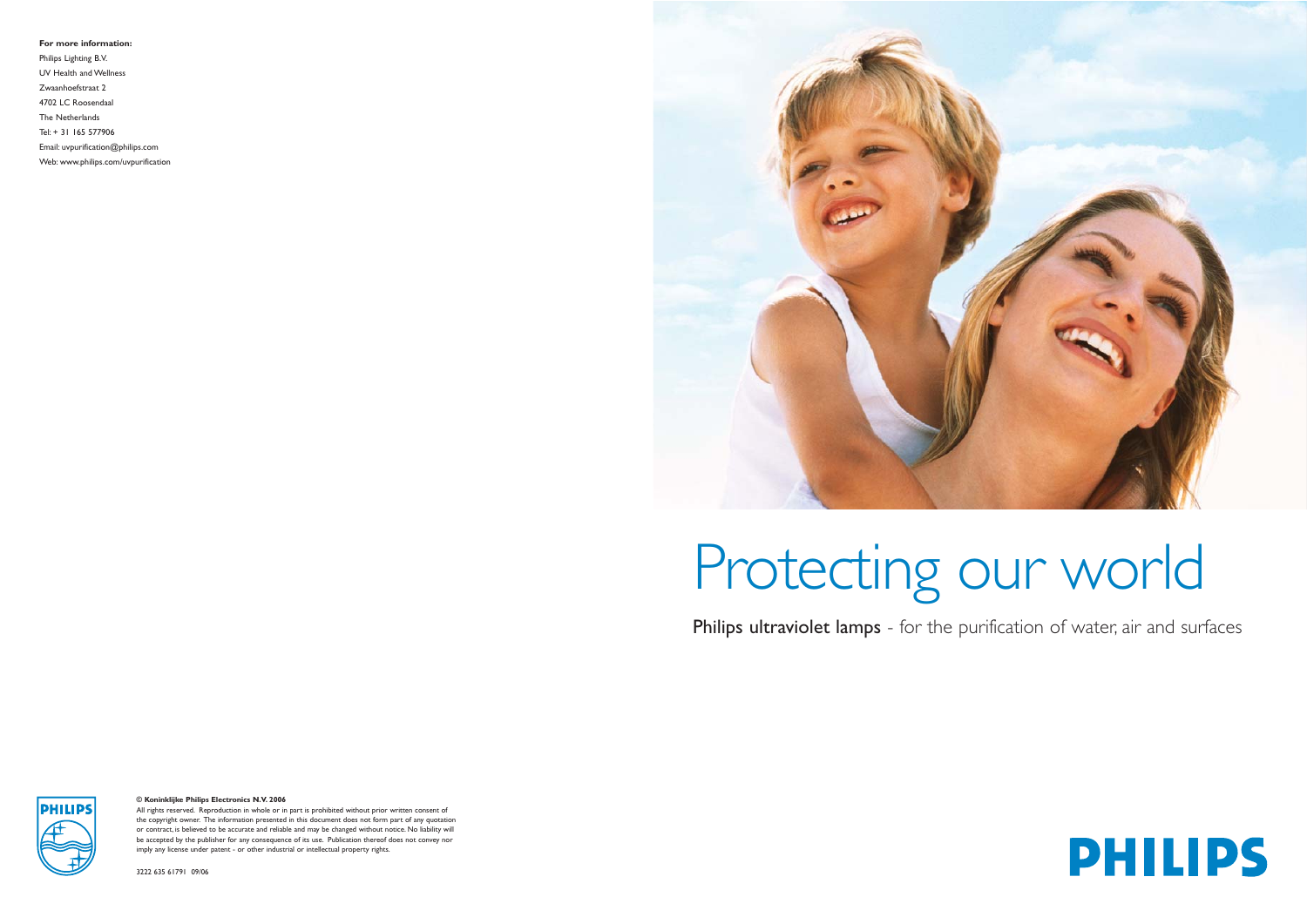# Protecting our world



**© Koninklijke Philips Electronics N.V. 2006**

All rights reserved. Reproduction in whole or in part is prohibited without prior written consent of the copyright owner. The information presented in this document does not form part of any quotation or contract, is believed to be accurate and reliable and may be changed without notice. No liability will be accepted by the publisher for any consequence of its use. Publication thereof does not convey nor imply any license under patent - or other industrial or intellectual property rights.

3222 635 61791 09/06

### Philips ultraviolet lamps - for the purification of water, air and surfaces



**For more information:**

Philips Lighting B.V. UV Health and Wellness Zwaanhoefstraat 2 4702 LC Roosendaal The Netherlands Tel: + 31 165 577906 Email: uvpurification@philips.com

Web: www.philips.com/uvpurification

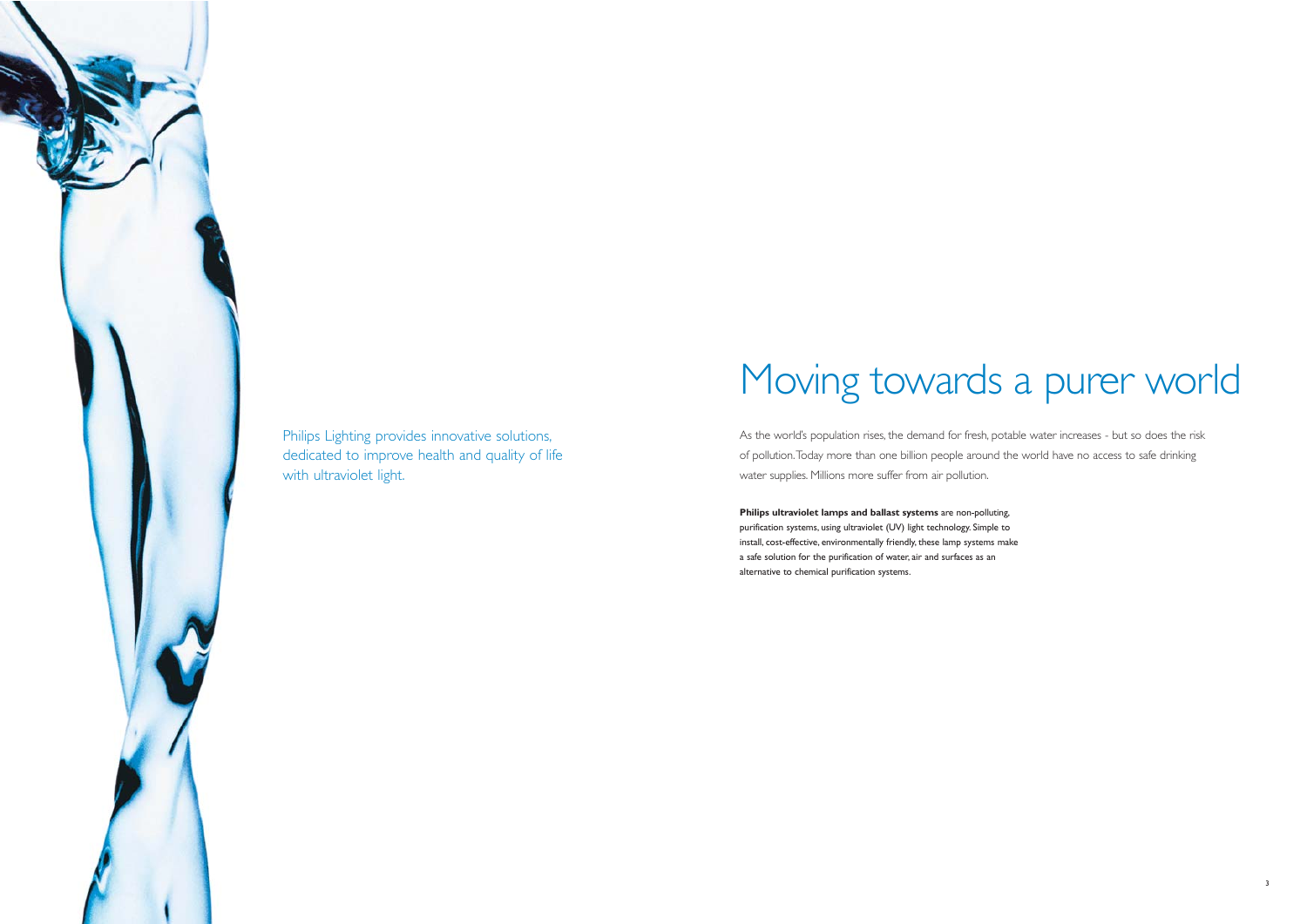## Moving towards a purer world

As the world's population rises, the demand for fresh, potable water increases - but so does the risk of pollution.Today more than one billion people around the world have no access to safe drinking water supplies. Millions more suffer from air pollution.



Philips Lighting provides innovative solutions, dedicated to improve health and quality of life with ultraviolet light.

> **Philips ultraviolet lamps and ballast systems** are non-polluting, purification systems, using ultraviolet (UV) light technology. Simple to install, cost-effective, environmentally friendly, these lamp systems make a safe solution for the purification of water, air and surfaces as an alternative to chemical purification systems.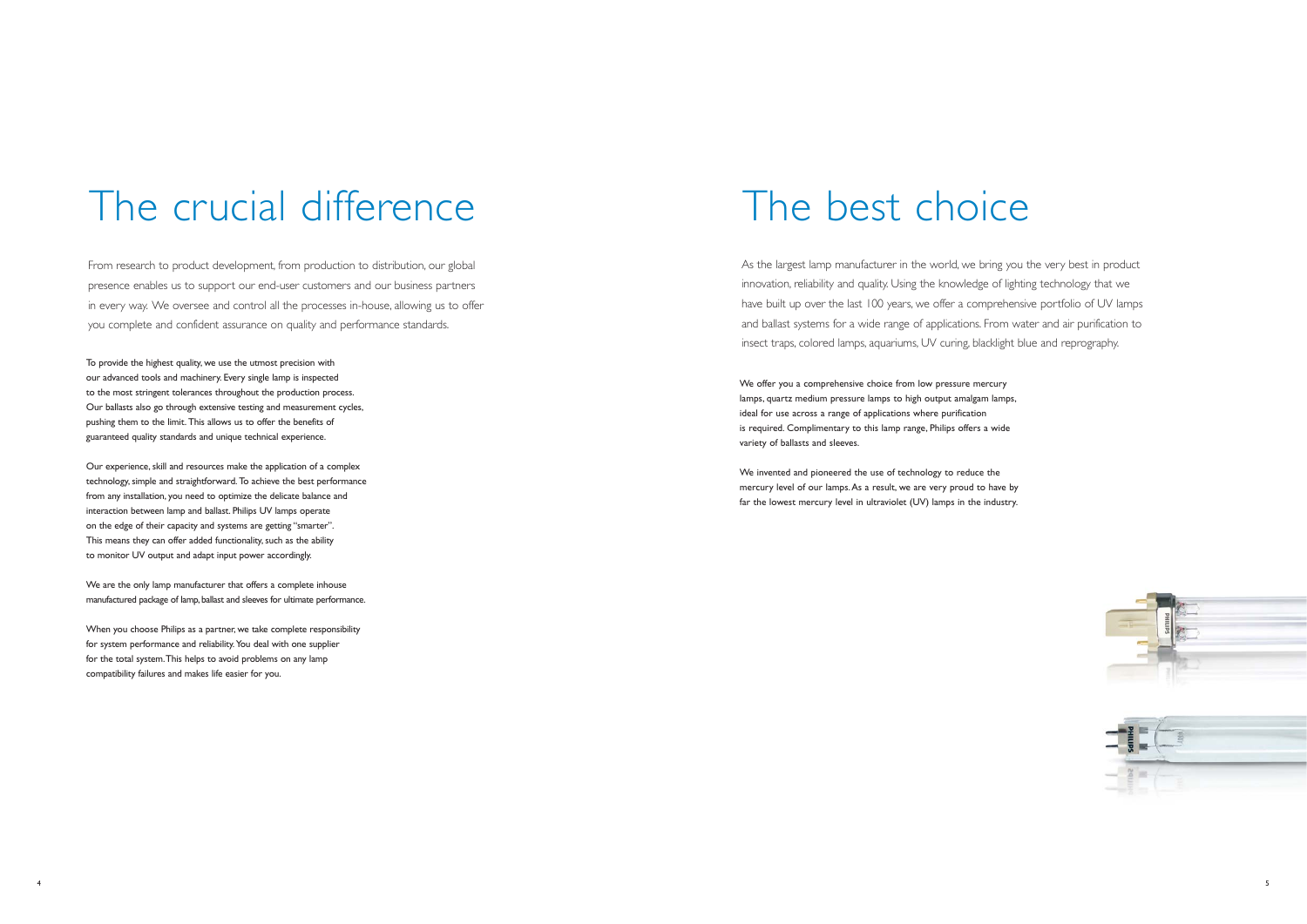

### The crucial difference

From research to product development, from production to distribution, our global presence enables us to support our end-user customers and our business partners in every way. We oversee and control all the processes in-house, allowing us to offer you complete and confident assurance on quality and performance standards.

To provide the highest quality, we use the utmost precision with our advanced tools and machinery. Every single lamp is inspected to the most stringent tolerances throughout the production process. Our ballasts also go through extensive testing and measurement cycles, pushing them to the limit. This allows us to offer the benefits of guaranteed quality standards and unique technical experience.

We are the only lamp manufacturer that offers a complete inhouse manufactured package of lamp, ballast and sleeves for ultimate performance.

Our experience, skill and resources make the application of a complex technology, simple and straightforward. To achieve the best performance from any installation, you need to optimize the delicate balance and interaction between lamp and ballast. Philips UV lamps operate on the edge of their capacity and systems are getting "smarter". This means they can offer added functionality, such as the ability to monitor UV output and adapt input power accordingly.

When you choose Philips as a partner, we take complete responsibility for system performance and reliability.You deal with one supplier for the total system.This helps to avoid problems on any lamp compatibility failures and makes life easier for you.

### The best choice

As the largest lamp manufacturer in the world, we bring you the very best in product innovation, reliability and quality. Using the knowledge of lighting technology that we have built up over the last 100 years, we offer a comprehensive portfolio of UV lamps and ballast systems for a wide range of applications. From water and air purification to insect traps, colored lamps, aquariums, UV curing, blacklight blue and reprography.

We offer you a comprehensive choice from low pressure mercury lamps, quartz medium pressure lamps to high output amalgam lamps, ideal for use across a range of applications where purification is required. Complimentary to this lamp range, Philips offers a wide variety of ballasts and sleeves.

We invented and pioneered the use of technology to reduce the mercury level of our lamps.As a result, we are very proud to have by far the lowest mercury level in ultraviolet (UV) lamps in the industry.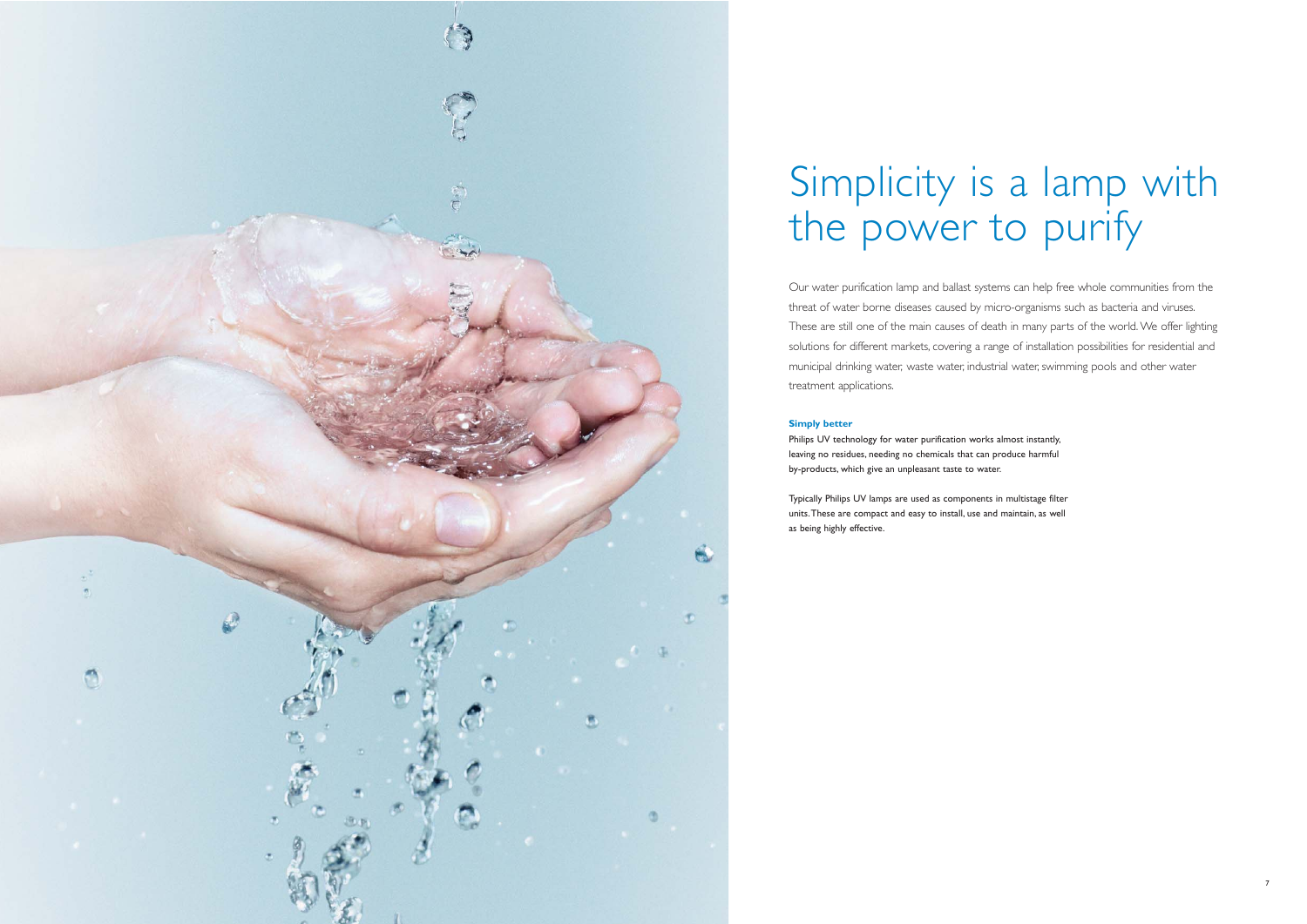

### Simplicity is a lamp with the power to purify

Our water purification lamp and ballast systems can help free whole communities from the threat of water borne diseases caused by micro-organisms such as bacteria and viruses. These are still one of the main causes of death in many parts of the world. We offer lighting solutions for different markets, covering a range of installation possibilities for residential and municipal drinking water, waste water, industrial water, swimming pools and other water treatment applications.

### **Simply better**

Philips UV technology for water purification works almost instantly, leaving no residues, needing no chemicals that can produce harmful by-products, which give an unpleasant taste to water.

Typically Philips UV lamps are used as components in multistage filter units.These are compact and easy to install, use and maintain, as well as being highly effective.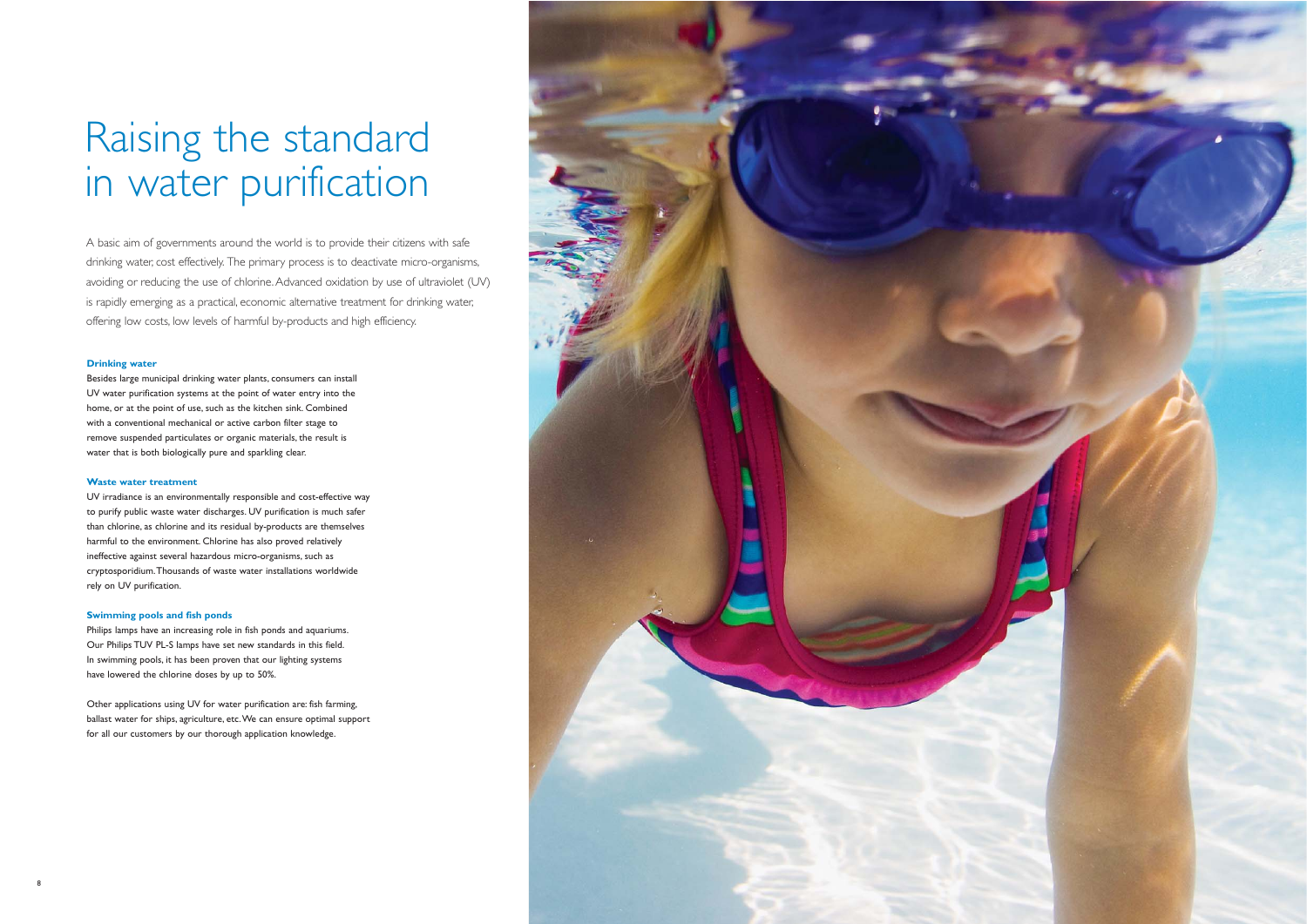### Raising the standard in water purification

A basic aim of governments around the world is to provide their citizens with safe drinking water, cost effectively. The primary process is to deactivate micro-organisms, avoiding or reducing the use of chlorine. Advanced oxidation by use of ultraviolet (UV) is rapidly emerging as a practical, economic alternative treatment for drinking water, offering low costs, low levels of harmful by-products and high efficiency.

### **Drinking water**

Besides large municipal drinking water plants, consumers can install UV water purification systems at the point of water entry into the home, or at the point of use, such as the kitchen sink. Combined with a conventional mechanical or active carbon filter stage to remove suspended particulates or organic materials, the result is water that is both biologically pure and sparkling clear.

### **Waste water treatment**

UV irradiance is an environmentally responsible and cost-effective way to purify public waste water discharges. UV purification is much safer than chlorine, as chlorine and its residual by-products are themselves harmful to the environment. Chlorine has also proved relatively ineffective against several hazardous micro-organisms, such as cryptosporidium.Thousands of waste water installations worldwide rely on UV purification.

### **Swimming pools and fish ponds**

Philips lamps have an increasing role in fish ponds and aquariums. Our Philips TUV PL-S lamps have set new standards in this field. In swimming pools, it has been proven that our lighting systems have lowered the chlorine doses by up to 50%.

Other applications using UV for water purification are: fish farming, ballast water for ships, agriculture, etc.We can ensure optimal support for all our customers by our thorough application knowledge.